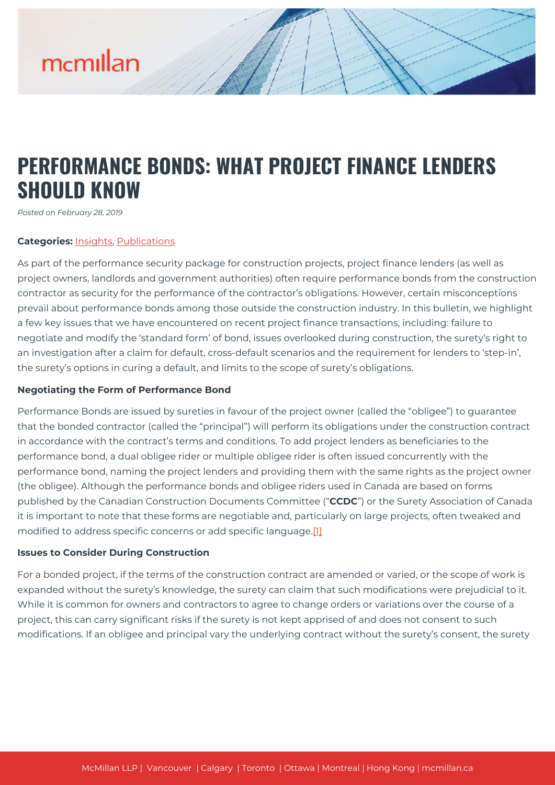### **PERFORMANCE BONDS: WHAT PROJECT FINANCE LENDERS SHOULD KNOW**

*Posted on February 28, 2019*

#### **Categories:** [Insights,](https://mcmillan.ca/insights/) [Publications](https://mcmillan.ca/insights/publications/)

As part of the performance security package for construction projects, project finance lenders (as well as project owners, landlords and government authorities) often require performance bonds from the construction contractor as security for the performance of the contractor's obligations. However, certain misconceptions prevail about performance bonds among those outside the construction industry. In this bulletin, we highlight a few key issues that we have encountered on recent project finance transactions, including: failure to negotiate and modify the 'standard form' of bond, issues overlooked during construction, the surety's right to an investigation after a claim for default, cross-default scenarios and the requirement for lenders to 'step-in', the surety's options in curing a default, and limits to the scope of surety's obligations.

#### **Negotiating the Form of Performance Bond**

Performance Bonds are issued by sureties in favour of the project owner (called the "obligee") to guarantee that the bonded contractor (called the "principal") will perform its obligations under the construction contract in accordance with the contract's terms and conditions. To add project lenders as beneficiaries to the performance bond, a dual obligee rider or multiple obligee rider is often issued concurrently with the performance bond, naming the project lenders and providing them with the same rights as the project owner (the obligee). Although the performance bonds and obligee riders used in Canada are based on forms published by the Canadian Construction Documents Committee ("**CCDC**") or the Surety Association of Canada it is important to note that these forms are negotiable and, particularly on large projects, often tweaked and modified to address specific concerns or add specific language.[\[1\]](#page--1-0)

#### **Issues to Consider During Construction**

For a bonded project, if the terms of the construction contract are amended or varied, or the scope of work is expanded without the surety's knowledge, the surety can claim that such modifications were prejudicial to it. While it is common for owners and contractors to agree to change orders or variations over the course of a project, this can carry significant risks if the surety is not kept apprised of and does not consent to such modifications. If an obligee and principal vary the underlying contract without the surety's consent, the surety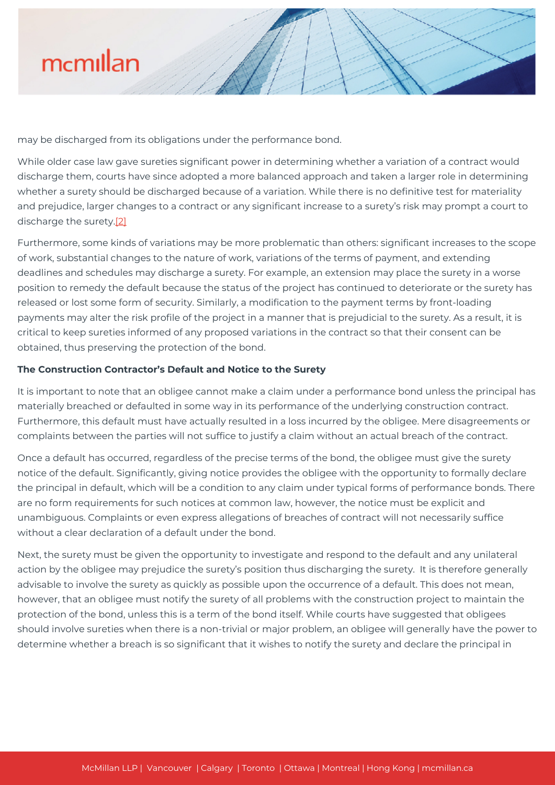

may be discharged from its obligations under the performance bond.

While older case law gave sureties significant power in determining whether a variation of a contract would discharge them, courts have since adopted a more balanced approach and taken a larger role in determining whether a surety should be discharged because of a variation. While there is no definitive test for materiality and prejudice, larger changes to a contract or any significant increase to a surety's risk may prompt a court to discharge the surety.[\[2\]](#page--1-0)

Furthermore, some kinds of variations may be more problematic than others: significant increases to the scope of work, substantial changes to the nature of work, variations of the terms of payment, and extending deadlines and schedules may discharge a surety. For example, an extension may place the surety in a worse position to remedy the default because the status of the project has continued to deteriorate or the surety has released or lost some form of security. Similarly, a modification to the payment terms by front-loading payments may alter the risk profile of the project in a manner that is prejudicial to the surety. As a result, it is critical to keep sureties informed of any proposed variations in the contract so that their consent can be obtained, thus preserving the protection of the bond.

#### **The Construction Contractor's Default and Notice to the Surety**

It is important to note that an obligee cannot make a claim under a performance bond unless the principal has materially breached or defaulted in some way in its performance of the underlying construction contract. Furthermore, this default must have actually resulted in a loss incurred by the obligee. Mere disagreements or complaints between the parties will not suffice to justify a claim without an actual breach of the contract.

Once a default has occurred, regardless of the precise terms of the bond, the obligee must give the surety notice of the default. Significantly, giving notice provides the obligee with the opportunity to formally declare the principal in default, which will be a condition to any claim under typical forms of performance bonds. There are no form requirements for such notices at common law, however, the notice must be explicit and unambiguous. Complaints or even express allegations of breaches of contract will not necessarily suffice without a clear declaration of a default under the bond.

Next, the surety must be given the opportunity to investigate and respond to the default and any unilateral action by the obligee may prejudice the surety's position thus discharging the surety. It is therefore generally advisable to involve the surety as quickly as possible upon the occurrence of a default. This does not mean, however, that an obligee must notify the surety of all problems with the construction project to maintain the protection of the bond, unless this is a term of the bond itself. While courts have suggested that obligees should involve sureties when there is a non-trivial or major problem, an obligee will generally have the power to determine whether a breach is so significant that it wishes to notify the surety and declare the principal in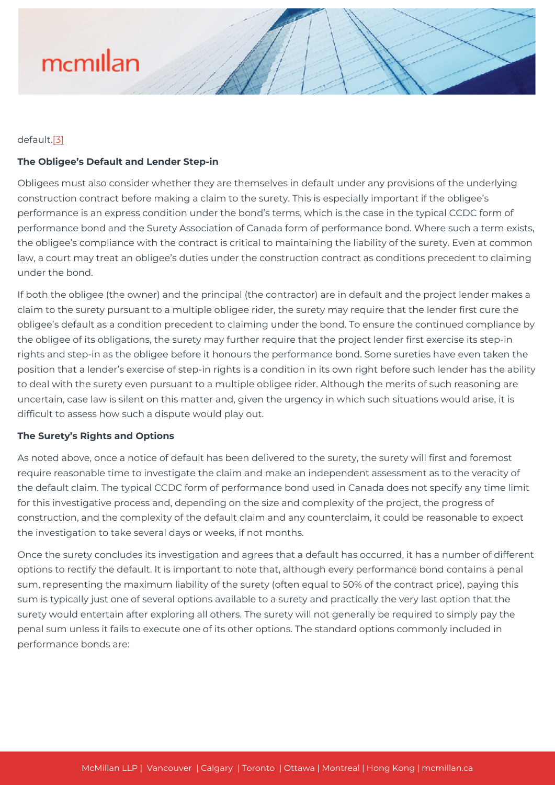#### default[.\[3\]](#page--1-0)

#### **The Obligee's Default and Lender Step-in**

Obligees must also consider whether they are themselves in default under any provisions of the underlying construction contract before making a claim to the surety. This is especially important if the obligee's performance is an express condition under the bond's terms, which is the case in the typical CCDC form of performance bond and the Surety Association of Canada form of performance bond. Where such a term exists, the obligee's compliance with the contract is critical to maintaining the liability of the surety. Even at common law, a court may treat an obligee's duties under the construction contract as conditions precedent to claiming under the bond.

If both the obligee (the owner) and the principal (the contractor) are in default and the project lender makes a claim to the surety pursuant to a multiple obligee rider, the surety may require that the lender first cure the obligee's default as a condition precedent to claiming under the bond. To ensure the continued compliance by the obligee of its obligations, the surety may further require that the project lender first exercise its step-in rights and step-in as the obligee before it honours the performance bond. Some sureties have even taken the position that a lender's exercise of step-in rights is a condition in its own right before such lender has the ability to deal with the surety even pursuant to a multiple obligee rider. Although the merits of such reasoning are uncertain, case law is silent on this matter and, given the urgency in which such situations would arise, it is difficult to assess how such a dispute would play out.

#### **The Surety's Rights and Options**

As noted above, once a notice of default has been delivered to the surety, the surety will first and foremost require reasonable time to investigate the claim and make an independent assessment as to the veracity of the default claim. The typical CCDC form of performance bond used in Canada does not specify any time limit for this investigative process and, depending on the size and complexity of the project, the progress of construction, and the complexity of the default claim and any counterclaim, it could be reasonable to expect the investigation to take several days or weeks, if not months.

Once the surety concludes its investigation and agrees that a default has occurred, it has a number of different options to rectify the default. It is important to note that, although every performance bond contains a penal sum, representing the maximum liability of the surety (often equal to 50% of the contract price), paying this sum is typically just one of several options available to a surety and practically the very last option that the surety would entertain after exploring all others. The surety will not generally be required to simply pay the penal sum unless it fails to execute one of its other options. The standard options commonly included in performance bonds are: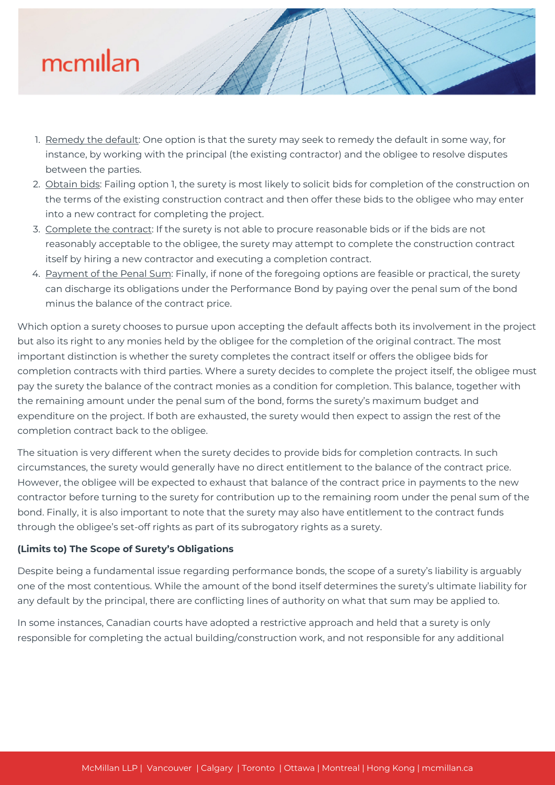- 1. Remedy the default: One option is that the surety may seek to remedy the default in some way, for instance, by working with the principal (the existing contractor) and the obligee to resolve disputes between the parties.
- 2. Obtain bids: Failing option 1, the surety is most likely to solicit bids for completion of the construction on the terms of the existing construction contract and then offer these bids to the obligee who may enter into a new contract for completing the project.
- 3. Complete the contract: If the surety is not able to procure reasonable bids or if the bids are not reasonably acceptable to the obligee, the surety may attempt to complete the construction contract itself by hiring a new contractor and executing a completion contract.
- 4. Payment of the Penal Sum: Finally, if none of the foregoing options are feasible or practical, the surety can discharge its obligations under the Performance Bond by paying over the penal sum of the bond minus the balance of the contract price.

Which option a surety chooses to pursue upon accepting the default affects both its involvement in the project but also its right to any monies held by the obligee for the completion of the original contract. The most important distinction is whether the surety completes the contract itself or offers the obligee bids for completion contracts with third parties. Where a surety decides to complete the project itself, the obligee must pay the surety the balance of the contract monies as a condition for completion. This balance, together with the remaining amount under the penal sum of the bond, forms the surety's maximum budget and expenditure on the project. If both are exhausted, the surety would then expect to assign the rest of the completion contract back to the obligee.

The situation is very different when the surety decides to provide bids for completion contracts. In such circumstances, the surety would generally have no direct entitlement to the balance of the contract price. However, the obligee will be expected to exhaust that balance of the contract price in payments to the new contractor before turning to the surety for contribution up to the remaining room under the penal sum of the bond. Finally, it is also important to note that the surety may also have entitlement to the contract funds through the obligee's set-off rights as part of its subrogatory rights as a surety.

### **(Limits to) The Scope of Surety's Obligations**

Despite being a fundamental issue regarding performance bonds, the scope of a surety's liability is arguably one of the most contentious. While the amount of the bond itself determines the surety's ultimate liability for any default by the principal, there are conflicting lines of authority on what that sum may be applied to.

In some instances, Canadian courts have adopted a restrictive approach and held that a surety is only responsible for completing the actual building/construction work, and not responsible for any additional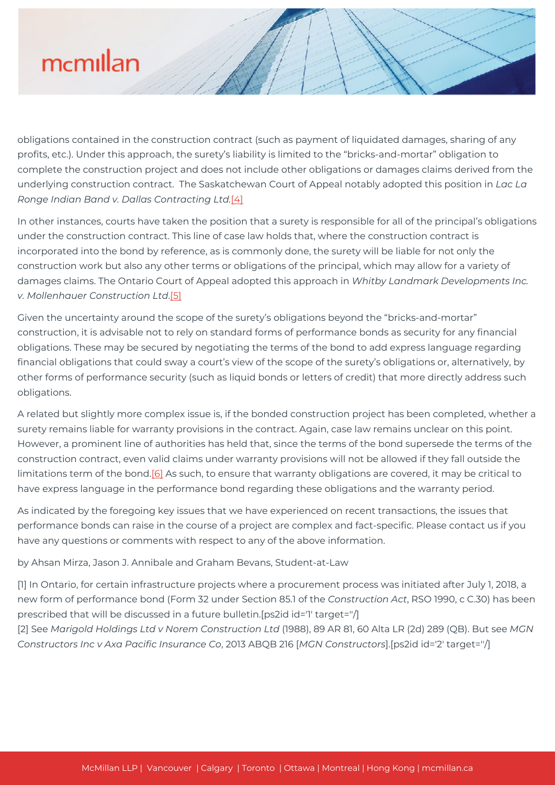obligations contained in the construction contract (such as payment of liquidated damages, sharing of any profits, etc.). Under this approach, the surety's liability is limited to the "bricks-and-mortar" obligation to complete the construction project and does not include other obligations or damages claims derived from the underlying construction contract. The Saskatchewan Court of Appeal notably adopted this position in *Lac La Ronge Indian Band v. Dallas Contracting Ltd.*[\[4\]](#page--1-0)

In other instances, courts have taken the position that a surety is responsible for all of the principal's obligations under the construction contract. This line of case law holds that, where the construction contract is incorporated into the bond by reference, as is commonly done, the surety will be liable for not only the construction work but also any other terms or obligations of the principal, which may allow for a variety of damages claims. The Ontario Court of Appeal adopted this approach in *Whitby Landmark Developments Inc. v. Mollenhauer Construction Ltd*.[\[5\]](#page--1-0)

Given the uncertainty around the scope of the surety's obligations beyond the "bricks-and-mortar" construction, it is advisable not to rely on standard forms of performance bonds as security for any financial obligations. These may be secured by negotiating the terms of the bond to add express language regarding financial obligations that could sway a court's view of the scope of the surety's obligations or, alternatively, by other forms of performance security (such as liquid bonds or letters of credit) that more directly address such obligations.

A related but slightly more complex issue is, if the bonded construction project has been completed, whether a surety remains liable for warranty provisions in the contract. Again, case law remains unclear on this point. However, a prominent line of authorities has held that, since the terms of the bond supersede the terms of the construction contract, even valid claims under warranty provisions will not be allowed if they fall outside the limitations term of the bond.<sup>[6]</sup> As such, to ensure that warranty obligations are covered, it may be critical to have express language in the performance bond regarding these obligations and the warranty period.

As indicated by the foregoing key issues that we have experienced on recent transactions, the issues that performance bonds can raise in the course of a project are complex and fact-specific. Please contact us if you have any questions or comments with respect to any of the above information.

by Ahsan Mirza, Jason J. Annibale and Graham Bevans, Student-at-Law

[1] In Ontario, for certain infrastructure projects where a procurement process was initiated after July 1, 2018, a new form of performance bond (Form 32 under Section 85.1 of the *Construction Act*, RSO 1990, c C.30) has been prescribed that will be discussed in a future bulletin.[ps2id id='1' target=''/]

[2] See *Marigold Holdings Ltd v Norem Construction Ltd* (1988), 89 AR 81, 60 Alta LR (2d) 289 (QB). But see *MGN Constructors Inc v Axa Pacific Insurance Co*, 2013 ABQB 216 [*MGN Constructors*].[ps2id id='2' target=''/]